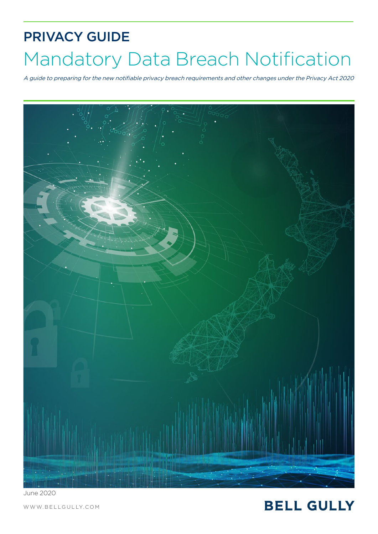# PRIVACY GUIDE Mandatory Data Breach Notification

A guide to preparing for the new notifiable privacy breach requirements and other changes under the Privacy Act 2020



June 2020

[WWW.BELLGULLY.COM](https://www.bellgully.com/)

## **BELL GULLY**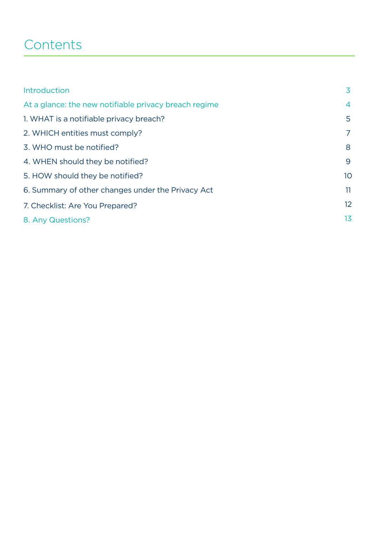# **Contents**

| Introduction                                          | 3              |
|-------------------------------------------------------|----------------|
| At a glance: the new notifiable privacy breach regime | $\overline{4}$ |
| 1. WHAT is a notifiable privacy breach?               | 5              |
| 2. WHICH entities must comply?                        | 7              |
| 3. WHO must be notified?                              | 8              |
| 4. WHEN should they be notified?                      | 9              |
| 5. HOW should they be notified?                       | 10             |
| 6. Summary of other changes under the Privacy Act     | 11             |
| 7. Checklist: Are You Prepared?                       | 12             |
| 8. Any Questions?                                     | 13             |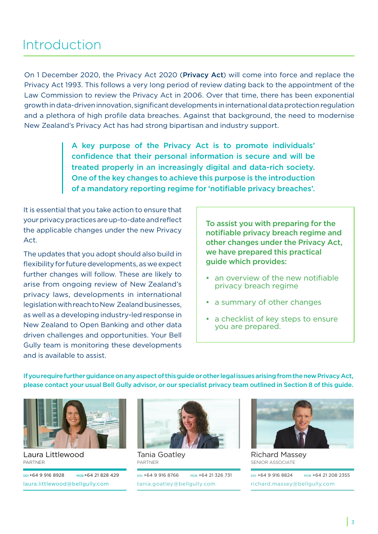### Introduction

On 1 December 2020, the Privacy Act 2020 (Privacy Act) will come into force and replace the Privacy Act 1993. This follows a very long period of review dating back to the appointment of the Law Commission to review the Privacy Act in 2006. Over that time, there has been exponential growth in data-driven innovation, significant developments in international data protection regulation and a plethora of high profile data breaches. Against that background, the need to modernise New Zealand's Privacy Act has had strong bipartisan and industry support.

> A key purpose of the Privacy Act is to promote individuals' confidence that their personal information is secure and will be treated properly in an increasingly digital and data-rich society. One of the key changes to achieve this purpose is the introduction of a mandatory reporting regime for 'notifiable privacy breaches'.

It is essential that you take action to ensure that your privacy practices are up-to-date and reflect the applicable changes under the new Privacy Act.

The updates that you adopt should also build in flexibility for future developments, as we expect further changes will follow. These are likely to arise from ongoing review of New Zealand's privacy laws, developments in international legislation with reach to New Zealand businesses, as well as a developing industry-led response in New Zealand to Open Banking and other data driven challenges and opportunities. Your Bell Gully team is monitoring these developments and is available to assist.

To assist you with preparing for the notifiable privacy breach regime and other changes under the Privacy Act, we have prepared this practical guide which provides:

- an overview of the new notifiable privacy breach regime
- a summary of other changes
- a checklist of key steps to ensure you are prepared.

If you require further guidance on any aspect of this guide or other legal issues arising from the new Privacy Act, please contact your usual Bell Gully advisor, or our specialist privacy team outlined in Section 8 of this guide.



[Laura Littlewood](https://www.bellgully.com/our-people/laura-littlewood) PARTNER

DDI+64 9 916 8928 MOB +64 21 828 429 laura.littlewood@bellgully.com



Tania Goatley PARTNER

DDI +64 9 916 8766 MOB +64 21 326 731 [tania.goatley@bellgully.com](https://www.bellgully.com/our-people/tania-goatley)



Richard Massey SENIOR ASSOCIATE

DDI +64 9 916 8824 MOB +64 21 208 2355 [richard.massey@bellgully.com](https://www.bellgully.com/our-people/richard-massey/)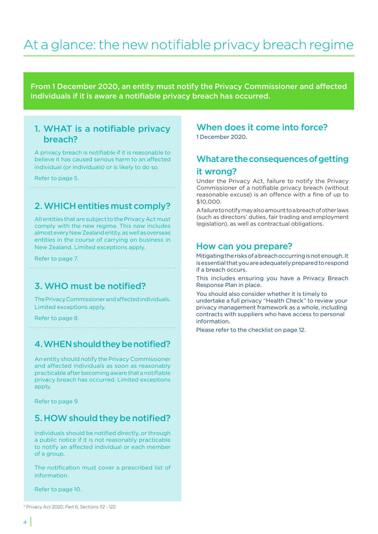# <span id="page-3-0"></span>At a glance: the new notifiable privacy breach regime

From 1 December 2020, an entity must notify the Privacy Commissioner and affected individuals if it is aware a notifiable privacy breach has occurred.

### [1. WHAT is a notifiable privacy](#page-4-0)  breach?

A privacy breach is notifiable if it is reasonable to believe it has caused serious harm to an affected individual (or individuals) or is likely to do so.

#### Refer to page 5.

### [2. WHICH entities must comply?](#page-6-0)

All entities that are subject to the Privacy Act must comply with the new regime. This now includes almost every New Zealand entity, as well as overseas entities in the course of carrying on business in New Zealand. Limited exceptions apply.

Refer to page 7.

### [3. WHO must be notified?](#page-7-0)

The Privacy Commissioner and affected individuals. Limited exceptions apply.

Refer to page 8.

### [4. WHEN should they be notified?](#page-8-0)

An entity should notify the Privacy Commissioner and affected individuals as soon as reasonably practicable after becoming aware that a notifiable privacy breach has occurred. Limited exceptions apply.

Refer to page 9.

### [5. HOW should they be notified?](#page-9-0)

Individuals should be notified directly, or through a public notice if it is not reasonably practicable to notify an affected individual or each member of a group.

The notification must cover a prescribed list of information.

Refer to page 10.

### When does it come into force?

1 December 2020.

### What are the consequences of getting it wrong?

Under the Privacy Act, failure to notify the Privacy Commissioner of a notifiable privacy breach (without reasonable excuse) is an offence with a fine of up to \$10,000.

A failure to notify may also amount to a breach of other laws (such as directors' duties, fair trading and employment legislation), as well as contractual obligations.

#### How can you prepare?

Mitigating the risks of a breach occurring is not enough. It is essential that you are adequately prepared to respond if a breach occurs.

[This includes ensuring you have a Privacy Breach](#page-11-0)  Response Plan in place.

You should also consider whether it is timely to undertake a full privacy "Health Check" to review your privacy management framework as a whole, including contracts with suppliers who have access to personal information.

Please refer to the checklist on page 12.

<sup>\*</sup> Privacy Act 2020, Part 6, Sections 112 - 122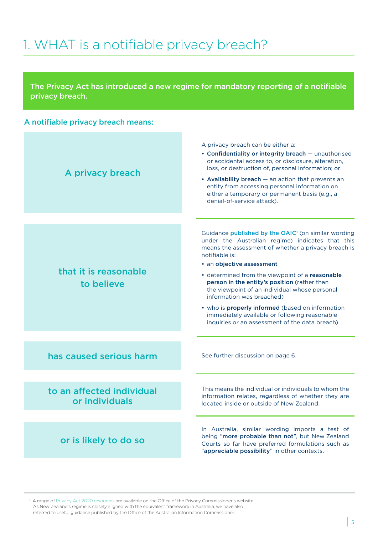# <span id="page-4-0"></span>1. WHAT is a notifiable privacy breach?

The Privacy Act has introduced a new regime for mandatory reporting of a notifiable privacy breach.

#### A notifiable privacy breach means:



<sup>1</sup> A range of [Privacy Act 2020 resources](https://www.privacy.org.nz/privacy-act-2020/resources/) are available on the Office of the Privacy Commissioner's website. As New Zealand's regime is closely aligned with the equivalent framework in Australia, we have also referred to useful guidance published by the Office of the Australian Information Commissioner.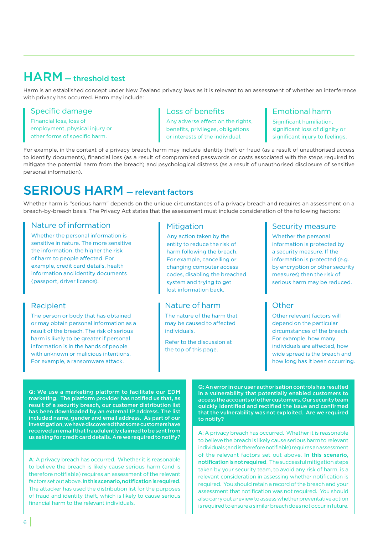### HARM — threshold test

Harm is an established concept under New Zealand privacy laws as it is relevant to an assessment of whether an interference with privacy has occurred. Harm may include:

#### Specific damage

Financial loss, loss of employment, physical injury or other forms of specific harm.

#### Loss of benefits

Any adverse effect on the rights, benefits, privileges, obligations or interests of the individual.

#### Emotional harm

Significant humiliation, significant loss of dignity or significant injury to feelings.

For example, in the context of a privacy breach, harm may include identity theft or fraud (as a result of unauthorised access to identify documents), financial loss (as a result of compromised passwords or costs associated with the steps required to mitigate the potential harm from the breach) and psychological distress (as a result of unauthorised disclosure of sensitive personal information).

### SERIOUS HARM — relevant factors

Whether harm is "serious harm" depends on the unique circumstances of a privacy breach and requires an assessment on a breach-by-breach basis. The Privacy Act states that the assessment must include consideration of the following factors:

#### Nature of information

Whether the personal information is sensitive in nature. The more sensitive the information, the higher the risk of harm to people affected. For example, credit card details, health information and identity documents (passport, driver licence).

#### Recipient

The person or body that has obtained or may obtain personal information as a result of the breach. The risk of serious harm is likely to be greater if personal information is in the hands of people with unknown or malicious intentions. For example, a ransomware attack.

#### **Mitigation**

Any action taken by the entity to reduce the risk of harm following the breach. For example, cancelling or changing computer access codes, disabling the breached system and trying to get lost information back.

#### Nature of harm

The nature of the harm that may be caused to affected individuals.

Refer to the discussion at the top of this page.

#### Security measure

Whether the personal information is protected by a security measure. If the information is protected (e.g. by encryption or other security measures) then the risk of serious harm may be reduced.

#### **Other**

Other relevant factors will depend on the particular circumstances of the breach. For example, how many individuals are affected, how wide spread is the breach and how long has it been occurring.

Q: We use a marketing platform to facilitate our EDM marketing. The platform provider has notified us that, as result of a security breach, our customer distribution list has been downloaded by an external IP address. The list included name, gender and email address. As part of our investigation, we have discovered that some customers have received an email that fraudulently claimed to be sent from us asking for credit card details. Are we required to notify?

A: A privacy breach has occurred. Whether it is reasonable to believe the breach is likely cause serious harm (and is therefore notifiable) requires an assessment of the relevant factors set out above. In this scenario, notification is required. The attacker has used the distribution list for the purposes of fraud and identity theft, which is likely to cause serious financial harm to the relevant individuals.

Q: An error in our user authorisation controls has resulted in a vulnerability that potentially enabled customers to access the accounts of other customers. Our security team quickly identified and rectified the issue and confirmed that the vulnerability was not exploited. Are we required to notify?

A: A privacy breach has occurred. Whether it is reasonable to believe the breach is likely cause serious harm to relevant individuals (and is therefore notifiable) requires an assessment of the relevant factors set out above. In this scenario, notification is not required. The successful mitigation steps taken by your security team, to avoid any risk of harm, is a relevant consideration in assessing whether notification is required. You should retain a record of the breach and your assessment that notification was not required. You should also carry out a review to assess whether preventative action is required to ensure a similar breach does not occur in future.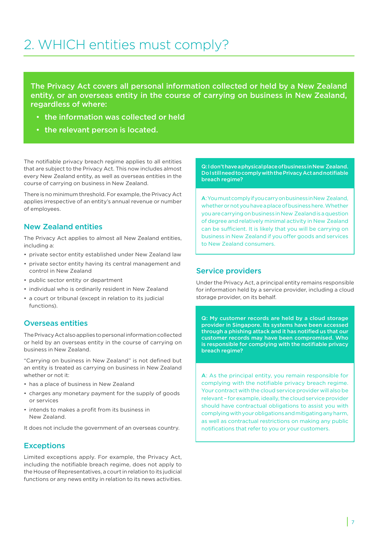# <span id="page-6-0"></span>2. WHICH entities must comply?

The Privacy Act covers all personal information collected or held by a New Zealand entity, or an overseas entity in the course of carrying on business in New Zealand, regardless of where:

- the information was collected or held
- the relevant person is located.

The notifiable privacy breach regime applies to all entities that are subject to the Privacy Act. This now includes almost every New Zealand entity, as well as overseas entities in the course of carrying on business in New Zealand.

There is no minimum threshold. For example, the Privacy Act applies irrespective of an entity's annual revenue or number of employees.

#### New Zealand entities

The Privacy Act applies to almost all New Zealand entities, including a:

- private sector entity established under New Zealand law
- private sector entity having its central management and control in New Zealand
- public sector entity or department
- individual who is ordinarily resident in New Zealand
- a court or tribunal (except in relation to its judicial functions).

#### Overseas entities

The Privacy Act also applies to personal information collected or held by an overseas entity in the course of carrying on business in New Zealand.

"Carrying on business in New Zealand" is not defined but an entity is treated as carrying on business in New Zealand whether or not it:

- has a place of business in New Zealand
- charges any monetary payment for the supply of goods or services
- intends to makes a profit from its business in New Zealand.

It does not include the government of an overseas country.

#### **Exceptions**

Limited exceptions apply. For example, the Privacy Act, including the notifiable breach regime, does not apply to the House of Representatives, a court in relation to its judicial functions or any news entity in relation to its news activities.

Q: I don't have a physical place of business in New Zealand. Do I still need to comply with the Privacy Act and notifiable breach regime?

A: You must comply if you carry on business in New Zealand, whether or not you have a place of business here. Whether you are carrying on business in New Zealand is a question of degree and relatively minimal activity in New Zealand can be sufficient. It is likely that you will be carrying on business in New Zealand if you offer goods and services to New Zealand consumers.

#### Service providers

Under the Privacy Act, a principal entity remains responsible for information held by a service provider, including a cloud storage provider, on its behalf.

Q: My customer records are held by a cloud storage provider in Singapore. Its systems have been accessed through a phishing attack and it has notified us that our customer records may have been compromised. Who is responsible for complying with the notifiable privacy breach regime?

A: As the principal entity, you remain responsible for complying with the notifiable privacy breach regime. Your contract with the cloud service provider will also be relevant – for example, ideally, the cloud service provider should have contractual obligations to assist you with complying with your obligations and mitigating any harm, as well as contractual restrictions on making any public notifications that refer to you or your customers.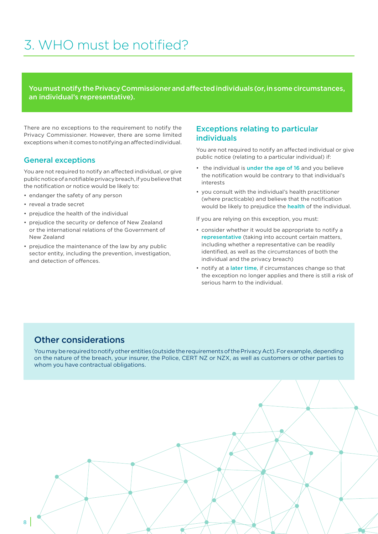# <span id="page-7-0"></span>3. WHO must be notified?

You must notify the Privacy Commissioner and affected individuals (or, in some circumstances, an individual's representative).

There are no exceptions to the requirement to notify the Privacy Commissioner. However, there are some limited exceptions when it comes to notifying an affected individual.

#### General exceptions

You are not required to notify an affected individual, or give public notice of a notifiable privacy breach, if you believe that the notification or notice would be likely to:

- endanger the safety of any person
- reveal a trade secret
- prejudice the health of the individual
- prejudice the security or defence of New Zealand or the international relations of the Government of New Zealand
- prejudice the maintenance of the law by any public sector entity, including the prevention, investigation, and detection of offences.

#### Exceptions relating to particular individuals

You are not required to notify an affected individual or give public notice (relating to a particular individual) if:

- the individual is under the age of 16 and you believe the notification would be contrary to that individual's interests
- you consult with the individual's health practitioner (where practicable) and believe that the notification would be likely to prejudice the **health** of the individual.

If you are relying on this exception, you must:

- consider whether it would be appropriate to notify a representative (taking into account certain matters, including whether a representative can be readily identified, as well as the circumstances of both the individual and the privacy breach)
- notify at a later time, if circumstances change so that the exception no longer applies and there is still a risk of serious harm to the individual.

### Other considerations

You may be required to notify other entities (outside the requirements of the Privacy Act). For example, depending on the nature of the breach, your insurer, the Police, CERT NZ or NZX, as well as customers or other parties to whom you have contractual obligations.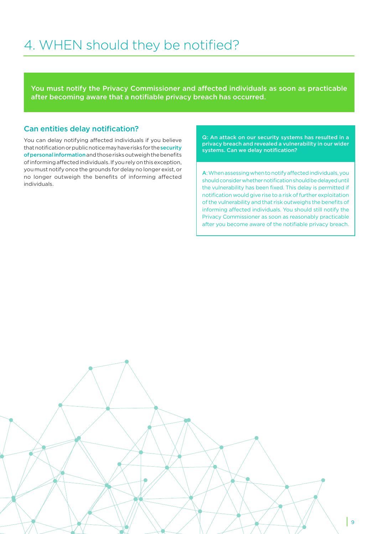# <span id="page-8-0"></span>4. WHEN should they be notified?

You must notify the Privacy Commissioner and affected individuals as soon as practicable after becoming aware that a notifiable privacy breach has occurred.

#### Can entities delay notification?

You can delay notifying affected individuals if you believe that notification or public notice may have risks for the security of personal information and those risks outweigh the benefits of informing affected individuals. If you rely on this exception, you must notify once the grounds for delay no longer exist, or no longer outweigh the benefits of informing affected individuals.

Q: An attack on our security systems has resulted in a privacy breach and revealed a vulnerability in our wider systems. Can we delay notification?

A: When assessing when to notify affected individuals, you should consider whether notification should be delayed until the vulnerability has been fixed. This delay is permitted if notification would give rise to a risk of further exploitation of the vulnerability and that risk outweighs the benefits of informing affected individuals. You should still notify the Privacy Commissioner as soon as reasonably practicable after you become aware of the notifiable privacy breach.

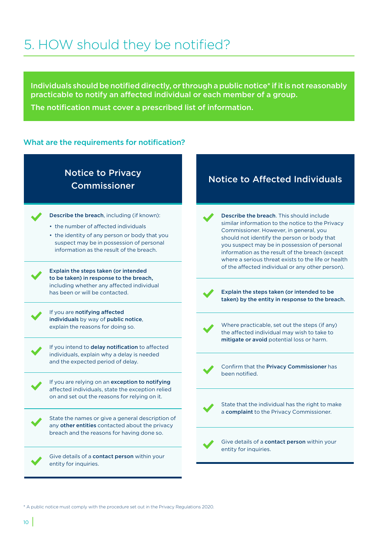# <span id="page-9-0"></span>5. HOW should they be notified?

Individuals should be notified directly, or through a public notice\* if it is not reasonably practicable to notify an affected individual or each member of a group.

The notification must cover a prescribed list of information.

#### What are the requirements for notification?

### Notice to Privacy Commissioner



Describe the breach, including (if known):

- the number of affected individuals
- the identity of any person or body that you suspect may be in possession of personal information as the result of the breach.

to be taken) in response to the breach, including whether any affected individual has been or will be contacted. The steps taken (or intended to be  $\blacksquare$ 



If you are notifying affected individuals by way of public notice,

If you intend to delay notification to affected individuals, explain why a delay is needed and the expected period of delay.<br> **Confirm that the Privacy Commissioner** has



State the names or give a general description of any other entities contacted about the privacy breach and the reasons for having done so.

Give details of a contact person within your entity for inquiries.

### Notice to Affected Individuals

Describe the breach. This should include similar information to the notice to the Privacy Commissioner. However, in general, you should not identify the person or body that you suspect may be in possession of personal information as the result of the breach (except where a serious threat exists to the life or health of the affected individual or any other person). Explain the steps taken (or intended



taken) by the entity in response to the breach.



explain the reasons for doing so. Where practicable, set out the steps (if any) the affected individual may wish to take to mitigate or avoid potential loss or harm.



been notified.



State that the individual has the right to make a complaint to the Privacy Commissioner.

Give details of a contact person within your entity for inquiries.

\* A public notice must comply with the procedure set out in the Privacy Regulations 2020.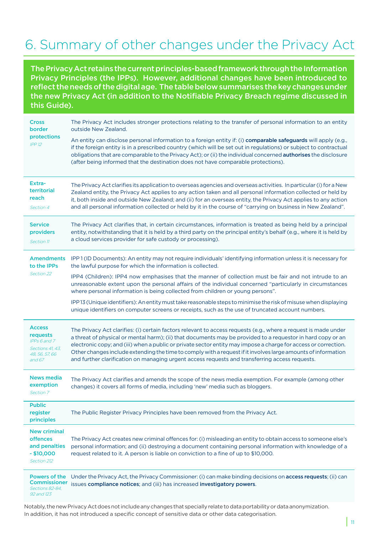# <span id="page-10-0"></span>6. Summary of other changes under the Privacy Act

The Privacy Act retains the current principles-based framework through the Information Privacy Principles (the IPPs). However, additional changes have been introduced to reflect the needs of the digital age. The table below summarises the key changes under the new Privacy Act (in addition to the Notifiable Privacy Breach regime discussed in this Guide).

|  | <b>Cross</b><br>border<br>protections<br>IPP12                                            | The Privacy Act includes stronger protections relating to the transfer of personal information to an entity<br>outside New Zealand.                                                                                                                                                                                                                                                                                                                                                                                                                                  |
|--|-------------------------------------------------------------------------------------------|----------------------------------------------------------------------------------------------------------------------------------------------------------------------------------------------------------------------------------------------------------------------------------------------------------------------------------------------------------------------------------------------------------------------------------------------------------------------------------------------------------------------------------------------------------------------|
|  |                                                                                           | An entity can disclose personal information to a foreign entity if: (i) comparable safeguards will apply (e.g.,<br>if the foreign entity is in a prescribed country (which will be set out in regulations) or subject to contractual<br>obligations that are comparable to the Privacy Act); or (ii) the individual concerned authorises the disclosure<br>(after being informed that the destination does not have comparable protections).                                                                                                                         |
|  | Extra-<br>territorial<br>reach<br>Section 4                                               | The Privacy Act clarifies its application to overseas agencies and overseas activities. In particular (i) for a New<br>Zealand entity, the Privacy Act applies to any action taken and all personal information collected or held by<br>it, both inside and outside New Zealand; and (ii) for an overseas entity, the Privacy Act applies to any action<br>and all personal information collected or held by it in the course of "carrying on business in New Zealand".                                                                                              |
|  | <b>Service</b><br>providers<br>Section 11                                                 | The Privacy Act clarifies that, in certain circumstances, information is treated as being held by a principal<br>entity, notwithstanding that it is held by a third party on the principal entity's behalf (e.g., where it is held by<br>a cloud services provider for safe custody or processing).                                                                                                                                                                                                                                                                  |
|  | <b>Amendments</b><br>to the <b>IPPs</b><br>Section 22                                     | IPP1 (ID Documents): An entity may not require individuals' identifying information unless it is necessary for<br>the lawful purpose for which the information is collected.                                                                                                                                                                                                                                                                                                                                                                                         |
|  |                                                                                           | IPP4 (Children): IPP4 now emphasises that the manner of collection must be fair and not intrude to an<br>unreasonable extent upon the personal affairs of the individual concerned "particularly in circumstances<br>where personal information is being collected from children or young persons".                                                                                                                                                                                                                                                                  |
|  |                                                                                           | IPP 13 (Unique identifiers): An entity must take reasonable steps to minimise the risk of misuse when displaying<br>unique identifiers on computer screens or receipts, such as the use of truncated account numbers.                                                                                                                                                                                                                                                                                                                                                |
|  | <b>Access</b><br>requests<br>IPPs 6 and 7<br>Sections 41, 43,<br>48, 56, 57, 66<br>and 67 | The Privacy Act clarifies: (i) certain factors relevant to access requests (e.g., where a request is made under<br>a threat of physical or mental harm); (ii) that documents may be provided to a requestor in hard copy or an<br>electronic copy; and (iii) when a public or private sector entity may impose a charge for access or correction.<br>Other changes include extending the time to comply with a request if it involves large amounts of information<br>and further clarification on managing urgent access requests and transferring access requests. |
|  | <b>News media</b><br>exemption<br>Section 7                                               | The Privacy Act clarifies and amends the scope of the news media exemption. For example (among other<br>changes) it covers all forms of media, including 'new' media such as bloggers.                                                                                                                                                                                                                                                                                                                                                                               |
|  | <b>Public</b><br>register<br>principles                                                   | The Public Register Privacy Principles have been removed from the Privacy Act.                                                                                                                                                                                                                                                                                                                                                                                                                                                                                       |
|  | <b>New criminal</b><br>offences<br>and penalties<br>$-$ \$10,000<br>Section 212           | The Privacy Act creates new criminal offences for: (i) misleading an entity to obtain access to someone else's<br>personal information; and (ii) destroying a document containing personal information with knowledge of a<br>request related to it. A person is liable on conviction to a fine of up to \$10,000.                                                                                                                                                                                                                                                   |
|  | Powers of the                                                                             | Under the Privacy Act, the Privacy Commissioner: (i) can make binding decisions on access requests; (ii) can<br>Commissioner issues compliance notices; and (iii) has increased investigatory powers.                                                                                                                                                                                                                                                                                                                                                                |

Sections 82-84, 92 and 123

Notably, the new Privacy Act does not include any changes that specially relate to data portability or data anonymization. In addition, it has not introduced a specific concept of sensitive data or other data categorisation.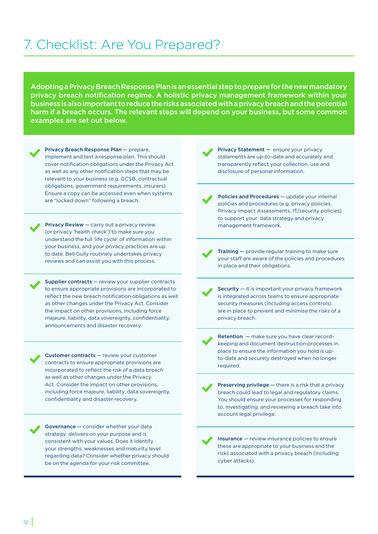# <span id="page-11-0"></span>7. Checklist: Are You Prepared?

Adopting a Privacy Breach Response Plan is an essential step to prepare for the new mandatory privacy breach notification regime. A holistic privacy management framework within your business is also important to reduce the risks associated with a privacy breach and the potential harm if a breach occurs. The relevant steps will depend on your business, but some common examples are set out below.

Privacy Breach Response Plan — prepare, implement and test a response plan. This should cover notification obligations under the Privacy Act as well as any other notification steps that may be relevant to your business (e.g. GCSB, contractual obligations, government requirements, insurers). Ensure a copy can be accessed even when systems are "locked down" following a breach.

Privacy Review — carry out a privacy review (or privacy 'health check') to make sure you understand the full 'life cycle' of information within your business, and your privacy practices are up to date. Bell Gully routinely undertakes privacy reviews and can assist you with this process.

Supplier contracts — review your supplier contracts to ensure appropriate provisions are incorporated to reflect the new breach notification obligations as well as other changes under the Privacy Act. Consider the impact on other provisions, including force majeure, liability, data sovereignty, confidentiality, announcements and disaster recovery.

Customer contracts — review your customer contracts to ensure appropriate provisions are incorporated to reflect the risk of a data breach as well as other changes under the Privacy Act. Consider the impact on other provisions, including force majeure, liability, data sovereignty, confidentiality and disaster recovery.

Governance — consider whether your data strategy delivers on your purpose and is consistent with your values. Does it identify your strengths, weaknesses and maturity level regarding data? Consider whether privacy should be on the agenda for your risk committee.

Privacy Statement — ensure your privacy statements are up-to-date and accurately and transparently reflect your collection, use and disclosure of personal information.

Policies and Procedures — update your internal policies and procedures (e.g. privacy policies, Privacy Impact Assessments, IT/security policies) to support your data strategy and privacy management framework.

Training — provide regular training to make sure your staff are aware of the policies and procedures in place and their obligations.

**Security**  $-$  it is important your privacy framework is integrated across teams to ensure appropriate security measures (including access controls) are in place to prevent and minimise the risks of a privacy breach.

Retention — make sure you have clear recordkeeping and document destruction processes in place to ensure the information you hold is upto-date and securely destroyed when no longer required.

Preserving privilege – there is a risk that a privacy breach could lead to legal and regulatory claims. You should ensure your processes for responding to, investigating and reviewing a breach take into account legal privilege.

Insurance — review insurance policies to ensure these are appropriate to your business and the risks associated with a privacy breach (including cyber attacks).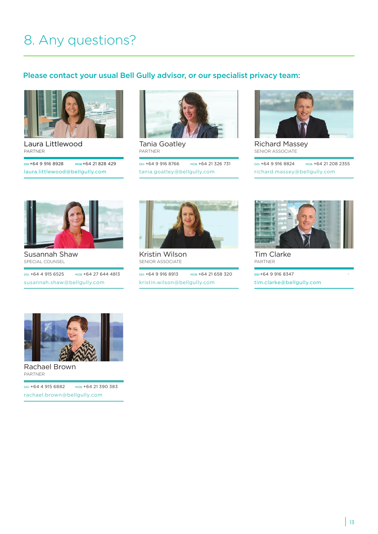# 8. Any questions?

### Please contact your usual Bell Gully advisor, or our specialist privacy team:



[Laura Littlewood](https://www.bellgully.com/our-people/laura-littlewood) PARTNER

DDI+64 9 916 8928 MOB +64 21 828 429 laura.littlewood@bellgully.com



Tania Goatley PARTNER

DDI +64 9 916 8766 MOB +64 21 326 731 [tania.goatley@bellgully.com](https://www.bellgully.com/our-people/tania-goatley)



Richard Massey SENIOR ASSOCIATE

DDI +64 9 916 8824 MOB +64 21 208 2355 [richard.massey@bellgully.com](https://www.bellgully.com/our-people/richard-massey/)



Susannah Shaw SPECIAL COUNSEL

DDI +64 4 915 6525 MOB +64 27 644 4813 [susannah.shaw@bellgully.com](https://www.bellgully.com/our-people/susannah-shaw)



Kristin Wilson SENIOR ASSOCIATE

DDI +64 9 916 8913 MOB +64 21 658 320 [kristin.wilson@bellgully.com](https://www.bellgully.com/our-people/kristin-wilson)



Tim Clarke PARTNER DDI+64 9 916 8347

[tim.clarke@bellgully.com](https://www.bellgully.com/our-people/tim-clarke)



Rachael Brown PARTNER

DDI +64 4 915 6882 MOB +64 21 390 383 [rachael.brown@bellgully.com](https://www.bellgully.com/our-people/rachael-brown)